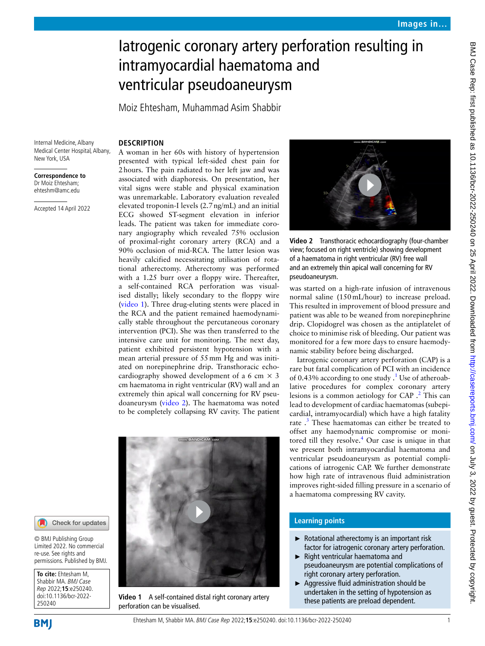# Iatrogenic coronary artery perforation resulting in intramyocardial haematoma and ventricular pseudoaneurysm

Moiz Ehtesham, Muhammad Asim Shabbir

## **DESCRIPTION**

Internal Medicine, Albany Medical Center Hospital, Albany, New York, USA

**Correspondence to** Dr Moiz Ehtesham; ehteshm@amc.edu

Accepted 14 April 2022

<span id="page-0-0"></span>**To cite:** Ehtesham M, Shabbir MA. BMJ Case Rep 2022;**15**:e250240. doi:10.1136/bcr-2022-

© BMJ Publishing Group Limited 2022. No commercial re-use. See rights and permissions. Published by BMJ.

Check for updates

250240

**BMJ** 

A woman in her 60s with history of hypertension presented with typical left-sided chest pain for 2hours. The pain radiated to her left jaw and was associated with diaphoresis. On presentation, her vital signs were stable and physical examination was unremarkable. Laboratory evaluation revealed elevated troponin-I levels (2.7ng/mL) and an initial ECG showed ST-segment elevation in inferior leads. The patient was taken for immediate coronary angiography which revealed 75% occlusion of proximal-right coronary artery (RCA) and a 90% occlusion of mid-RCA. The latter lesion was heavily calcified necessitating utilisation of rotational atherectomy. Atherectomy was performed with a 1.25 burr over a floppy wire. Thereafter, a self-contained RCA perforation was visualised distally; likely secondary to the floppy wire ([video](#page-0-0) 1). Three drug-eluting stents were placed in the RCA and the patient remained haemodynamically stable throughout the percutaneous coronary intervention (PCI). She was then transferred to the intensive care unit for monitoring. The next day, patient exhibited persistent hypotension with a mean arterial pressure of 55mm Hg and was initiated on norepinephrine drip. Transthoracic echocardiography showed development of a 6 cm  $\times$  3 cm haematoma in right ventricular (RV) wall and an extremely thin apical wall concerning for RV pseudoaneurysm ([video](#page-0-1) 2). The haematoma was noted to be completely collapsing RV cavity. The patient



**Video 1** A self-contained distal right coronary artery perforation can be visualised.



<span id="page-0-1"></span>**Video 2** Transthoracic echocardiography (four-chamber view; focused on right ventricle) showing development of a haematoma in right ventricular (RV) free wall and an extremely thin apical wall concerning for RV pseudoaneurysm.

was started on a high-rate infusion of intravenous normal saline (150mL/hour) to increase preload. This resulted in improvement of blood pressure and patient was able to be weaned from norepinephrine drip. Clopidogrel was chosen as the antiplatelet of choice to minimise risk of bleeding. Our patient was monitored for a few more days to ensure haemodynamic stability before being discharged.

Iatrogenic coronary artery perforation (CAP) is a rare but fatal complication of PCI with an incidence of 0.43% according to one study  $\cdot$ <sup>[1](#page-1-0)</sup> Use of atheroablative procedures for complex coronary artery lesions is a common aetiology for CAP .<sup>[2](#page-1-1)</sup> This can lead to development of cardiac haematomas (subepicardial, intramyocardial) which have a high fatality rate .<sup>3</sup> These haematomas can either be treated to offset any haemodynamic compromise or moni-tored till they resolve.<sup>[4](#page-1-3)</sup> Our case is unique in that we present both intramyocardial haematoma and ventricular pseudoaneurysm as potential complications of iatrogenic CAP. We further demonstrate how high rate of intravenous fluid administration improves right-sided filling pressure in a scenario of a haematoma compressing RV cavity.

## **Learning points**

- ► Rotational atherectomy is an important risk factor for iatrogenic coronary artery perforation.
- ► Right ventricular haematoma and pseudoaneurysm are potential complications of right coronary artery perforation.
- ► Aggressive fluid administration should be undertaken in the setting of hypotension as these patients are preload dependent.